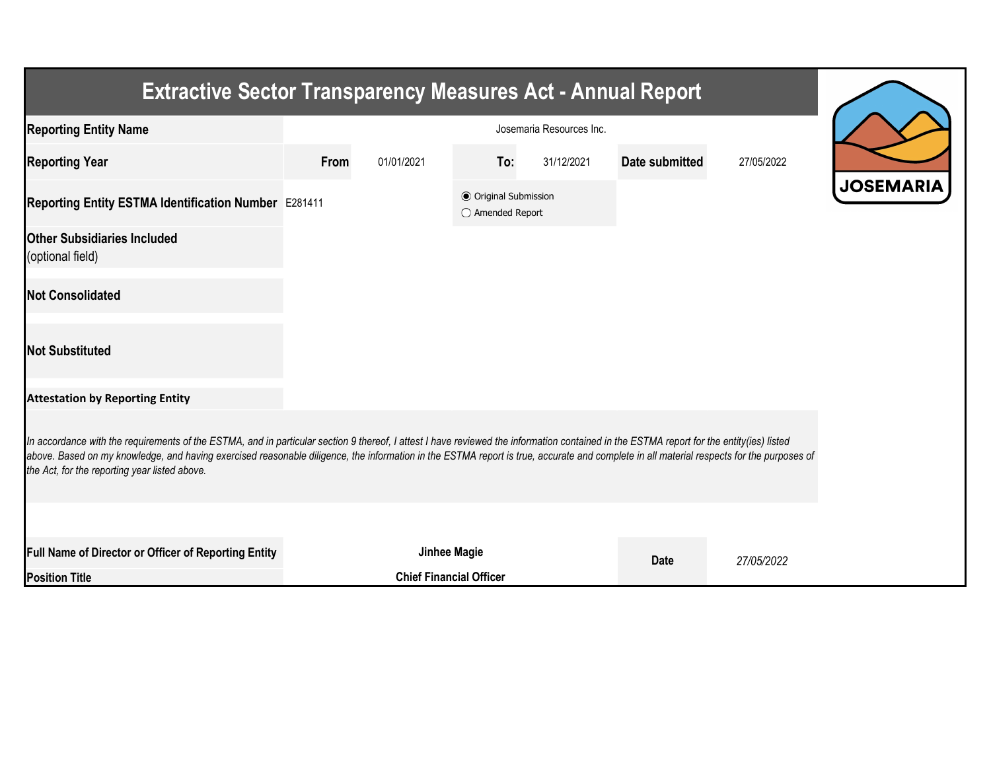| <b>Extractive Sector Transparency Measures Act - Annual Report</b>                                                                                                                                                                                                                                                                                                                                                                    |                          |            |                                                  |            |                |            |  |  |
|---------------------------------------------------------------------------------------------------------------------------------------------------------------------------------------------------------------------------------------------------------------------------------------------------------------------------------------------------------------------------------------------------------------------------------------|--------------------------|------------|--------------------------------------------------|------------|----------------|------------|--|--|
| <b>Reporting Entity Name</b>                                                                                                                                                                                                                                                                                                                                                                                                          | Josemaria Resources Inc. |            |                                                  |            |                |            |  |  |
| <b>Reporting Year</b>                                                                                                                                                                                                                                                                                                                                                                                                                 | From                     | 01/01/2021 | To:                                              | 31/12/2021 | Date submitted | 27/05/2022 |  |  |
| Reporting Entity ESTMA Identification Number E281411                                                                                                                                                                                                                                                                                                                                                                                  |                          |            | <b>⊙</b> Original Submission<br>◯ Amended Report |            |                |            |  |  |
| <b>Other Subsidiaries Included</b><br>(optional field)                                                                                                                                                                                                                                                                                                                                                                                |                          |            |                                                  |            |                |            |  |  |
| <b>Not Consolidated</b>                                                                                                                                                                                                                                                                                                                                                                                                               |                          |            |                                                  |            |                |            |  |  |
| <b>Not Substituted</b>                                                                                                                                                                                                                                                                                                                                                                                                                |                          |            |                                                  |            |                |            |  |  |
| <b>Attestation by Reporting Entity</b>                                                                                                                                                                                                                                                                                                                                                                                                |                          |            |                                                  |            |                |            |  |  |
| In accordance with the requirements of the ESTMA, and in particular section 9 thereof, I attest I have reviewed the information contained in the ESTMA report for the entity(ies) listed<br>above. Based on my knowledge, and having exercised reasonable diligence, the information in the ESTMA report is true, accurate and complete in all material respects for the purposes of<br>the Act, for the reporting year listed above. |                          |            |                                                  |            |                |            |  |  |
|                                                                                                                                                                                                                                                                                                                                                                                                                                       |                          |            |                                                  |            |                |            |  |  |
| Full Name of Director or Officer of Reporting Entity                                                                                                                                                                                                                                                                                                                                                                                  |                          |            | Jinhee Magie                                     |            | <b>Date</b>    | 27/05/2022 |  |  |
| <b>Position Title</b>                                                                                                                                                                                                                                                                                                                                                                                                                 |                          |            | <b>Chief Financial Officer</b>                   |            |                |            |  |  |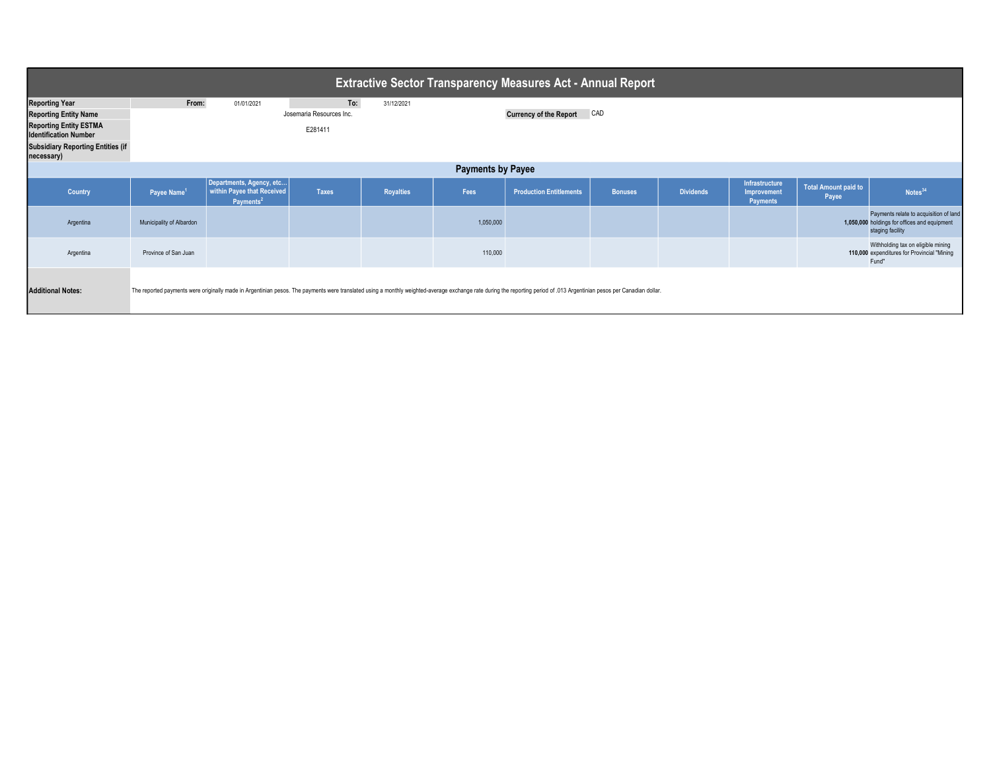| <b>Extractive Sector Transparency Measures Act - Annual Report</b>                                                                                                               |                          |                                                                                 |                                            |                  |           |                                                                                                                                                                                                                         |                |                  |                                                  |                               |                                                                                                            |
|----------------------------------------------------------------------------------------------------------------------------------------------------------------------------------|--------------------------|---------------------------------------------------------------------------------|--------------------------------------------|------------------|-----------|-------------------------------------------------------------------------------------------------------------------------------------------------------------------------------------------------------------------------|----------------|------------------|--------------------------------------------------|-------------------------------|------------------------------------------------------------------------------------------------------------|
| <b>Reporting Year</b><br><b>Reporting Entity Name</b><br><b>Reporting Entity ESTMA</b><br><b>Identification Number</b><br><b>Subsidiary Reporting Entities (if</b><br>necessary) | From:                    | 01/01/2021                                                                      | To:<br>Josemaria Resources Inc.<br>E281411 | 31/12/2021       |           | <b>Currency of the Report</b>                                                                                                                                                                                           | CAD            |                  |                                                  |                               |                                                                                                            |
| <b>Payments by Payee</b>                                                                                                                                                         |                          |                                                                                 |                                            |                  |           |                                                                                                                                                                                                                         |                |                  |                                                  |                               |                                                                                                            |
| Country                                                                                                                                                                          | Payee Name <sup>1</sup>  | Departments, Agency, etc<br>within Payee that Received<br>Payments <sup>2</sup> | <b>Taxes</b>                               | <b>Royalties</b> | Fees      | <b>Production Entitlements</b>                                                                                                                                                                                          | <b>Bonuses</b> | <b>Dividends</b> | Infrastructure<br>Improvement<br><b>Payments</b> | Total Amount paid to<br>Payee | Notes <sup>34</sup>                                                                                        |
| Argentina                                                                                                                                                                        | Municipality of Albardon |                                                                                 |                                            |                  | 1,050,000 |                                                                                                                                                                                                                         |                |                  |                                                  |                               | Payments relate to acquisition of land<br>1,050,000 holdings for offices and equipment<br>staging facility |
| Argentina                                                                                                                                                                        | Province of San Juan     |                                                                                 |                                            |                  | 110,000   |                                                                                                                                                                                                                         |                |                  |                                                  |                               | Withholding tax on eligible mining<br>110,000 expenditures for Provincial "Mining<br>Fund"                 |
| <b>Additional Notes:</b>                                                                                                                                                         |                          |                                                                                 |                                            |                  |           | The reported payments were originally made in Argentinian pesos. The payments were translated using a monthly weighted-average exchange rate during the reporting period of .013 Argentinian pesos per Canadian dollar. |                |                  |                                                  |                               |                                                                                                            |